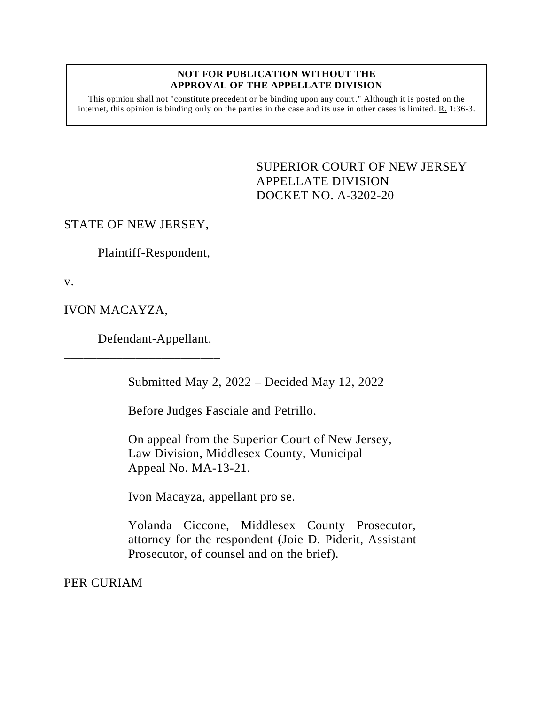## **NOT FOR PUBLICATION WITHOUT THE APPROVAL OF THE APPELLATE DIVISION**

This opinion shall not "constitute precedent or be binding upon any court." Although it is posted on the internet, this opinion is binding only on the parties in the case and its use in other cases is limited. R. 1:36-3.

> <span id="page-0-0"></span>SUPERIOR COURT OF NEW JERSEY APPELLATE DIVISION DOCKET NO. A-3202-20

STATE OF NEW JERSEY,

Plaintiff-Respondent,

v.

IVON MACAYZA,

Defendant-Appellant.

\_\_\_\_\_\_\_\_\_\_\_\_\_\_\_\_\_\_\_\_\_\_\_\_

Submitted May 2, 2022 – Decided May 12, 2022

Before Judges Fasciale and Petrillo.

On appeal from the Superior Court of New Jersey, Law Division, Middlesex County, Municipal Appeal No. MA-13-21.

Ivon Macayza, appellant pro se.

Yolanda Ciccone, Middlesex County Prosecutor, attorney for the respondent (Joie D. Piderit, Assistant Prosecutor, of counsel and on the brief).

PER CURIAM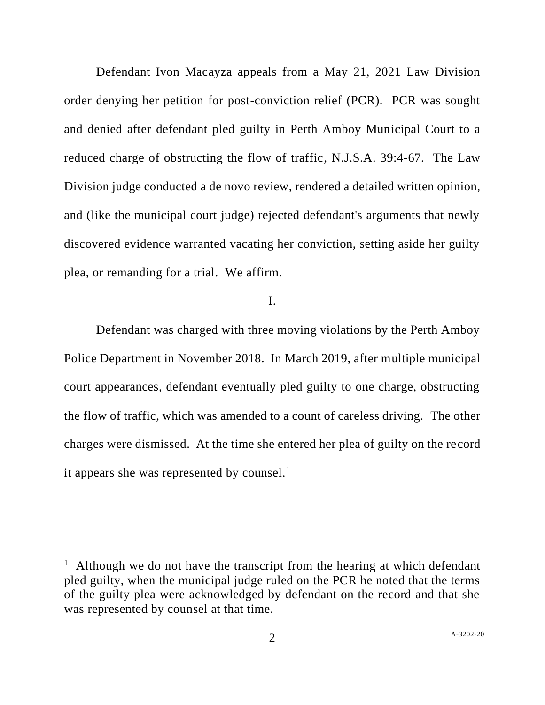Defendant Ivon Macayza appeals from a May 21, 2021 Law Division order denying her petition for post-conviction relief (PCR). PCR was sought and denied after defendant pled guilty in Perth Amboy Municipal Court to a reduced charge of obstructing the flow of traffic, N.J.S.A. 39:4-67. The Law Division judge conducted a de novo review, rendered a detailed written opinion, and (like the municipal court judge) rejected defendant's arguments that newly discovered evidence warranted vacating her conviction, setting aside her guilty plea, or remanding for a trial. We affirm.

## I.

Defendant was charged with three moving violations by the Perth Amboy Police Department in November 2018. In March 2019, after multiple municipal court appearances, defendant eventually pled guilty to one charge, obstructing the flow of traffic, which was amended to a count of careless driving. The other charges were dismissed. At the time she entered her plea of guilty on the record it appears she was represented by counsel.<sup>1</sup>

<sup>&</sup>lt;sup>1</sup> Although we do not have the transcript from the hearing at which defendant pled guilty, when the municipal judge ruled on the PCR he noted that the terms of the guilty plea were acknowledged by defendant on the record and that she was represented by counsel at that time.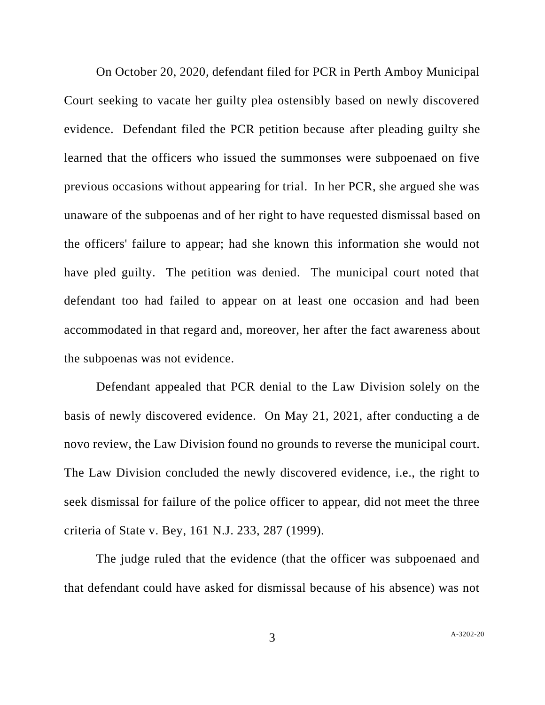On October 20, 2020, defendant filed for PCR in Perth Amboy Municipal Court seeking to vacate her guilty plea ostensibly based on newly discovered evidence. Defendant filed the PCR petition because after pleading guilty she learned that the officers who issued the summonses were subpoenaed on five previous occasions without appearing for trial. In her PCR, she argued she was unaware of the subpoenas and of her right to have requested dismissal based on the officers' failure to appear; had she known this information she would not have pled guilty. The petition was denied. The municipal court noted that defendant too had failed to appear on at least one occasion and had been accommodated in that regard and, moreover, her after the fact awareness about the subpoenas was not evidence.

Defendant appealed that PCR denial to the Law Division solely on the basis of newly discovered evidence. On May 21, 2021, after conducting a de novo review, the Law Division found no grounds to reverse the municipal court. The Law Division concluded the newly discovered evidence, i.e., the right to seek dismissal for failure of the police officer to appear, did not meet the three criteria of State v. Bey, 161 N.J. 233, 287 (1999).

The judge ruled that the evidence (that the officer was subpoenaed and that defendant could have asked for dismissal because of his absence) was not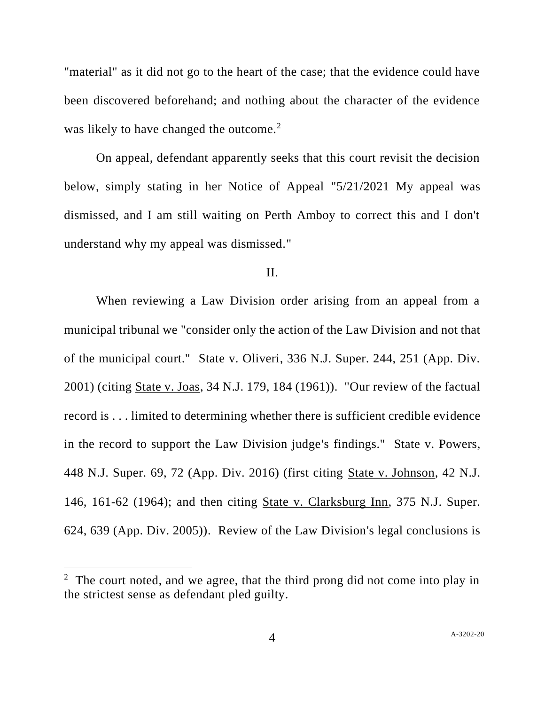"material" as it did not go to the heart of the case; that the evidence could have been discovered beforehand; and nothing about the character of the evidence was likely to have changed the outcome. $2$ 

On appeal, defendant apparently seeks that this court revisit the decision below, simply stating in her Notice of Appeal "5/21/2021 My appeal was dismissed, and I am still waiting on Perth Amboy to correct this and I don't understand why my appeal was dismissed."

## II.

When reviewing a Law Division order arising from an appeal from a municipal tribunal we "consider only the action of the Law Division and not that of the municipal court." State v. Oliveri, 336 N.J. Super. 244, 251 (App. Div. 2001) (citing State v. Joas, 34 N.J. 179, 184 (1961)). "Our review of the factual record is . . . limited to determining whether there is sufficient credible evidence in the record to support the Law Division judge's findings." State v. Powers, 448 N.J. Super. 69, 72 (App. Div. 2016) (first citing State v. Johnson, 42 N.J. 146, 161-62 (1964); and then citing State v. Clarksburg Inn, 375 N.J. Super. 624, 639 (App. Div. 2005)). Review of the Law Division's legal conclusions is

<sup>&</sup>lt;sup>2</sup> The court noted, and we agree, that the third prong did not come into play in the strictest sense as defendant pled guilty.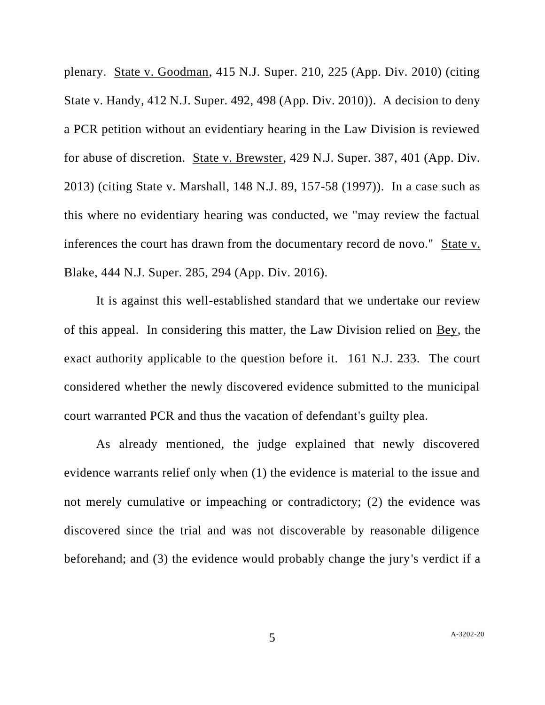plenary. State v. Goodman, 415 N.J. Super. 210, 225 (App. Div. 2010) (citing State v. Handy, 412 N.J. Super. 492, 498 (App. Div. 2010)). A decision to deny a PCR petition without an evidentiary hearing in the Law Division is reviewed for abuse of discretion. State v. Brewster, 429 N.J. Super. 387, 401 (App. Div. 2013) (citing State v. Marshall, 148 N.J. 89, 157-58 (1997)). In a case such as this where no evidentiary hearing was conducted, we "may review the factual inferences the court has drawn from the documentary record de novo." State v. Blake, 444 N.J. Super. 285, 294 (App. Div. 2016).

It is against this well-established standard that we undertake our review of this appeal. In considering this matter, the Law Division relied on Bey, the exact authority applicable to the question before it. 161 N.J. 233. The court considered whether the newly discovered evidence submitted to the municipal court warranted PCR and thus the vacation of defendant's guilty plea.

As already mentioned, the judge explained that newly discovered evidence warrants relief only when (1) the evidence is material to the issue and not merely cumulative or impeaching or contradictory; (2) the evidence was discovered since the trial and was not discoverable by reasonable diligence beforehand; and (3) the evidence would probably change the jury's verdict if a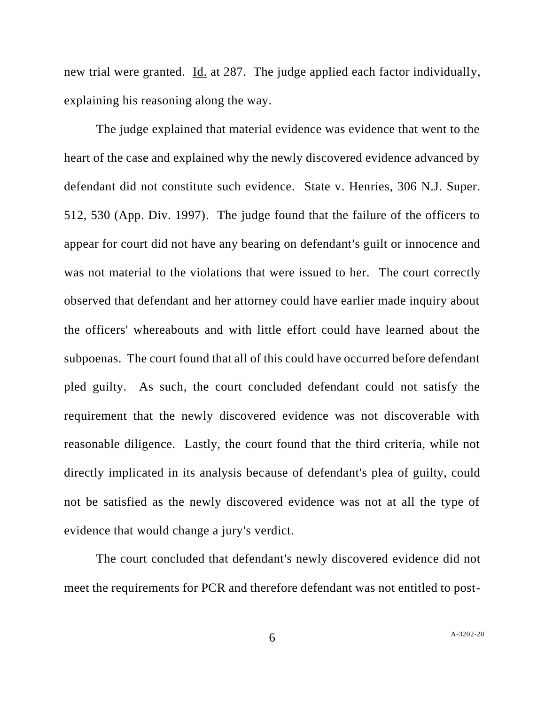new trial were granted. Id. at 287. The judge applied each factor individually, explaining his reasoning along the way.

The judge explained that material evidence was evidence that went to the heart of the case and explained why the newly discovered evidence advanced by defendant did not constitute such evidence. State v. Henries, 306 N.J. Super. 512, 530 (App. Div. 1997). The judge found that the failure of the officers to appear for court did not have any bearing on defendant's guilt or innocence and was not material to the violations that were issued to her. The court correctly observed that defendant and her attorney could have earlier made inquiry about the officers' whereabouts and with little effort could have learned about the subpoenas. The court found that all of this could have occurred before defendant pled guilty. As such, the court concluded defendant could not satisfy the requirement that the newly discovered evidence was not discoverable with reasonable diligence. Lastly, the court found that the third criteria, while not directly implicated in its analysis because of defendant's plea of guilty, could not be satisfied as the newly discovered evidence was not at all the type of evidence that would change a jury's verdict.

The court concluded that defendant's newly discovered evidence did not meet the requirements for PCR and therefore defendant was not entitled to post-

6